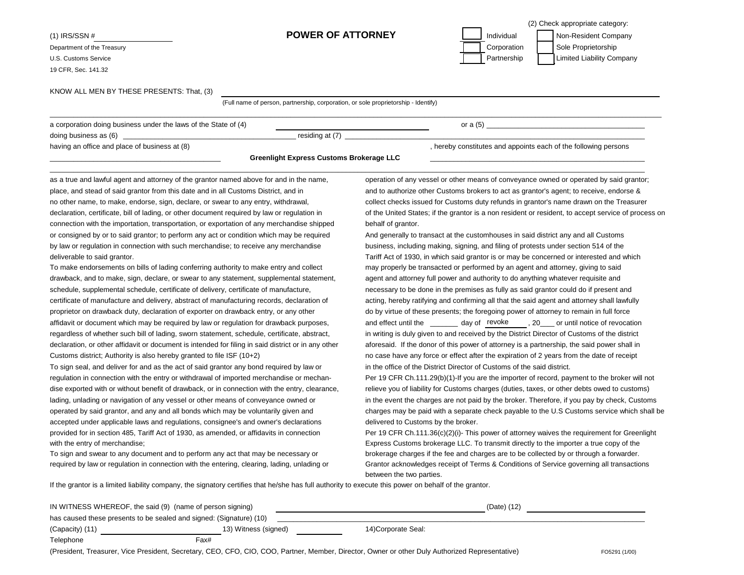# 19 CFR, Sec. 141.32

|                            |                          |             | (2) Check appropriate category:  |  |  |  |
|----------------------------|--------------------------|-------------|----------------------------------|--|--|--|
| $(1)$ IRS/SSN #            | <b>POWER OF ATTORNEY</b> | Individual  | Non-Resident Company             |  |  |  |
| Department of the Treasury |                          | Corporation | Sole Proprietorship              |  |  |  |
| U.S. Customs Service       |                          | Partnership | <b>Limited Liability Company</b> |  |  |  |
|                            |                          |             |                                  |  |  |  |

#### KNOW ALL MEN BY THESE PRESENTS: That, (3)

(Full name of person, partnership, corporation, or sole proprietorship - Identify)

| , hereby constitutes and appoints each of the following persons |
|-----------------------------------------------------------------|
|                                                                 |
|                                                                 |

place, and stead of said grantor from this date and in all Customs District, and in and to authorize other Customs brokers to act as grantor's agent; to receive, endorse & no other name, to make, endorse, sign, declare, or swear to any entry, withdrawal, excluded to collect checks issued for Customs duty refunds in grantor's name drawn on the Treasurer connection with the importation, transportation, or exportation of any merchandise shipped behalf of grantor. or consigned by or to said grantor; to perform any act or condition which may be required And generally to transact at the customhouses in said district any and all Customs by law or regulation in connection with such merchandise; to receive any merchandise business, including making, signing, and filing of protests under section 514 of the deliverable to said grantor. Tariff Act of 1930, in which said grantor is or may be concerned or interested and which

To make endorsements on bills of lading conferring authority to make entry and collect may properly be transacted or performed by an agent and attorney, giving to said drawback, and to make, sign, declare, or swear to any statement, supplemental statement, agent and attorney full power and authority to do anything whatever requisite and schedule, supplemental schedule, certificate of delivery, certificate of manufacture, necessary to be done in the premises as fully as said grantor could do if present and certificate of manufacture and delivery, abstract of manufacturing records, declaration of acting, hereby ratifying and confirming all that the said agent and attorney shall lawfully proprietor on drawback duty, declaration of exporter on drawback entry, or any other do by virtue of these presents; the foregoing power of attorney to remain in full force affidavit or document which may be required by law or regulation for drawback purposes, and effect until the day of revoke , 20 \_\_ or until notice of revocation regardless of whether such bill of lading, sworn statement, schedule, certificate, abstract, in writing is duly given to and received by the District Director of Customs of the district declaration, or other affidavit or document is intended for filing in said district or in any other aforesaid. If the donor of this power of attorney is a partnership, the said power shall in Customs district; Authority is also hereby granted to file ISF (10+2) no case have any force or effect after the expiration of 2 years from the date of receipt

To sign seal, and deliver for and as the act of said grantor any bond required by law or in the office of the District Director of Customs of the said district. dise exported with or without benefit of drawback, or in connection with the entry, clearance, relieve you of liability for Customs charges (duties, taxes, or other debts owed to customs) accepted under applicable laws and regulations, consignee's and owner's declarations delivered to Customs by the broker. provided for in section 485, Tariff Act of 1930, as amended, or affidavits in connection Per 19 CFR Ch.111.36(c)(2)(i)- This power of attorney waives the requirement for Greenlight

as a true and lawful agent and attorney of the grantor named above for and in the name, operation of any vessel or other means of conveyance owned or operated by said grantor; declaration, certificate, bill of lading, or other document required by law or regulation in of the United States; if the grantor is a non resident or resident, to accept service of process on

day of revoke

regulation in connection with the entry or withdrawal of imported merchandise or mechan-<br>
Per 19 CFR Ch.111.29(b)(1)-If you are the importer of record, payment to the broker will not lading, unlading or navigation of any vessel or other means of conveyance owned or in the event the charges are not paid by the broker. Therefore, if you pay by check, Customs operated by said grantor, and any and all bonds which may be voluntarily given and charges may be paid with a separate check payable to the U.S Customs service which shall be

with the entry of merchandise; express Customs brokerage LLC. To transmit directly to the importer a true copy of the To sign and swear to any document and to perform any act that may be necessary or brokerage charges if the fee and charges are to be collected by or through a forwarder. required by law or regulation in connection with the entering, clearing, lading, unlading or Grantor acknowledges receipt of Terms & Conditions of Service governing all transactions between the two parties.

If the grantor is a limited liability company, the signatory certifies that he/she has full authority to execute this power on behalf of the grantor.

| IN WITNESS WHEREOF, the said (9) (name of person signing) |                                                                     | (Date) (12)                                                                                                                                     |               |
|-----------------------------------------------------------|---------------------------------------------------------------------|-------------------------------------------------------------------------------------------------------------------------------------------------|---------------|
|                                                           | has caused these presents to be sealed and signed: (Signature) (10) |                                                                                                                                                 |               |
| (Capacity) (11)                                           | 13) Witness (signed)                                                | 14) Corporate Seal:                                                                                                                             |               |
| Telephone                                                 | Fax#                                                                |                                                                                                                                                 |               |
|                                                           |                                                                     | (President, Treasurer, Vice President, Secretary, CEO, CFO, CIO, COO, Partner, Member, Director, Owner or other Duly Authorized Representative) | FO5291 (1/00) |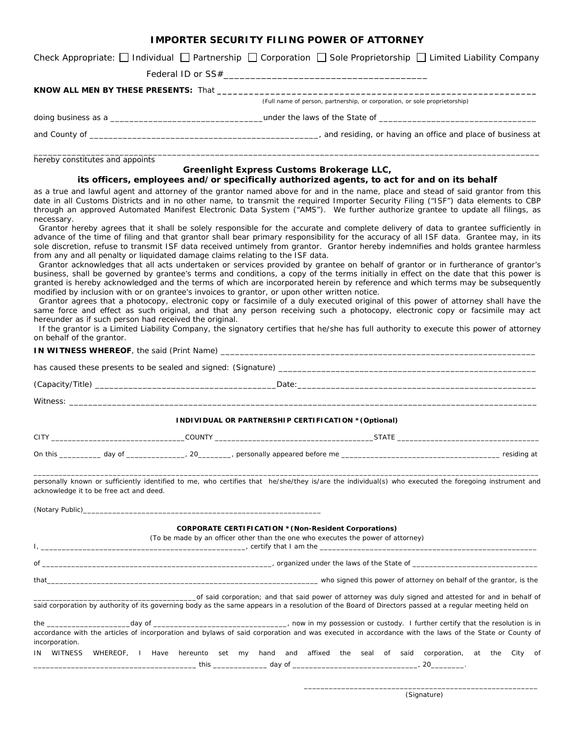#### **IMPORTER SECURITY FILING POWER OF ATTORNEY**

Check Appropriate:  $\Box$  Individual  $\Box$  Partnership  $\Box$  Corporation  $\Box$  Sole Proprietorship  $\Box$  Limited Liability Company

Federal ID or SS#\_\_\_\_\_\_\_\_\_\_\_\_\_\_\_\_\_\_\_\_\_\_\_\_\_\_\_\_\_\_\_\_\_\_\_\_\_\_

**KNOW ALL MEN BY THESE PRESENTS:** That **\_\_\_\_\_\_\_\_\_\_\_\_\_\_\_\_\_\_\_\_\_\_\_\_\_\_\_\_\_\_\_\_\_\_\_\_\_\_\_\_\_\_\_\_\_\_\_\_\_\_\_\_\_\_\_\_\_\_\_\_**

(Full name of person, partnership, or corporation, or sole proprietorship)

doing business as a  $\frac{1}{2}$  and  $\frac{1}{2}$  and  $\frac{1}{2}$  and  $\frac{1}{2}$  and  $\frac{1}{2}$  and  $\frac{1}{2}$  and  $\frac{1}{2}$  and  $\frac{1}{2}$  and  $\frac{1}{2}$  and  $\frac{1}{2}$  and  $\frac{1}{2}$  and  $\frac{1}{2}$  and  $\frac{1}{2}$  and  $\frac{1}{2}$  and  $\frac{1$ 

and County of \_\_\_\_\_\_\_\_\_\_\_\_\_\_\_\_\_\_\_\_\_\_\_\_\_\_\_\_\_\_\_\_\_\_\_\_\_\_\_\_\_\_\_\_\_\_\_\_, and residing, or having an office and place of business at

\_\_\_\_\_\_\_\_\_\_\_\_\_\_\_\_\_\_\_\_\_\_\_\_\_\_\_\_\_\_\_\_\_\_\_\_\_\_\_\_\_\_\_\_\_\_\_\_\_\_\_\_\_\_\_\_\_\_\_\_\_\_\_\_\_\_\_\_\_\_\_\_\_\_\_\_\_\_\_\_\_\_\_\_\_\_\_\_\_\_\_\_\_\_\_\_\_\_\_\_\_\_\_\_\_\_ hereby constitutes and appoints

## **Greenlight Express Customs Brokerage LLC,**

#### **its officers, employees and/or specifically authorized agents, to act for and on its behalf**

as a true and lawful agent and attorney of the grantor named above for and in the name, place and stead of said grantor from this date in all Customs Districts and in no other name, to transmit the required Importer Security Filing ("ISF") data elements to CBP through an approved Automated Manifest Electronic Data System ("AMS"). We further authorize grantee to update all filings, as necessary.

 Grantor hereby agrees that it shall be solely responsible for the accurate and complete delivery of data to grantee sufficiently in advance of the time of filing and that grantor shall bear primary responsibility for the accuracy of all ISF data. Grantee may, in its sole discretion, refuse to transmit ISF data received untimely from grantor. Grantor hereby indemnifies and holds grantee harmless from any and all penalty or liquidated damage claims relating to the ISF data.

 Grantor acknowledges that all acts undertaken or services provided by grantee on behalf of grantor or in furtherance of grantor's business, shall be governed by grantee's terms and conditions, a copy of the terms initially in effect on the date that this power is granted is hereby acknowledged and the terms of which are incorporated herein by reference and which terms may be subsequently modified by inclusion with or on grantee's invoices to grantor, or upon other written notice.

 Grantor agrees that a photocopy, electronic copy or facsimile of a duly executed original of this power of attorney shall have the same force and effect as such original, and that any person receiving such a photocopy, electronic copy or facsimile may act hereunder as if such person had received the original.

 If the grantor is a Limited Liability Company, the signatory certifies that he/she has full authority to execute this power of attorney on behalf of the grantor.

**IN WITNESS WHEREOF**, the said (Print Name) \_\_\_\_\_\_\_\_\_\_\_\_\_\_\_\_\_\_\_\_\_\_\_\_\_\_\_\_\_\_\_\_\_\_\_\_\_\_\_\_\_\_\_\_\_\_\_\_\_\_\_\_\_\_\_\_\_\_\_\_\_\_\_\_\_\_

|                |                                                                                                                                                                                                 | <b>INDIVIDUAL OR PARTNERSHIP CERTIFICATION * (Optional)</b>                                            |  |  |  |  |  |  |
|----------------|-------------------------------------------------------------------------------------------------------------------------------------------------------------------------------------------------|--------------------------------------------------------------------------------------------------------|--|--|--|--|--|--|
|                |                                                                                                                                                                                                 |                                                                                                        |  |  |  |  |  |  |
|                |                                                                                                                                                                                                 |                                                                                                        |  |  |  |  |  |  |
|                | personally known or sufficiently identified to me, who certifies that he/she/they is/are the individual(s) who executed the foregoing instrument and<br>acknowledge it to be free act and deed. |                                                                                                        |  |  |  |  |  |  |
|                |                                                                                                                                                                                                 |                                                                                                        |  |  |  |  |  |  |
|                |                                                                                                                                                                                                 | <b>CORPORATE CERTIFICATION * (Non-Resident Corporations)</b>                                           |  |  |  |  |  |  |
|                |                                                                                                                                                                                                 | (To be made by an officer other than the one who executes the power of attorney)                       |  |  |  |  |  |  |
|                |                                                                                                                                                                                                 |                                                                                                        |  |  |  |  |  |  |
|                |                                                                                                                                                                                                 |                                                                                                        |  |  |  |  |  |  |
|                | said corporation by authority of its governing body as the same appears in a resolution of the Board of Directors passed at a regular meeting held on                                           | of said corporation; and that said power of attorney was duly signed and attested for and in behalf of |  |  |  |  |  |  |
|                |                                                                                                                                                                                                 |                                                                                                        |  |  |  |  |  |  |
| incorporation. | accordance with the articles of incorporation and bylaws of said corporation and was executed in accordance with the laws of the State or County of                                             |                                                                                                        |  |  |  |  |  |  |
|                | IN WITNESS WHEREOF, I Have hereunto set my hand and affixed the seal of said corporation, at the City of                                                                                        |                                                                                                        |  |  |  |  |  |  |
|                |                                                                                                                                                                                                 |                                                                                                        |  |  |  |  |  |  |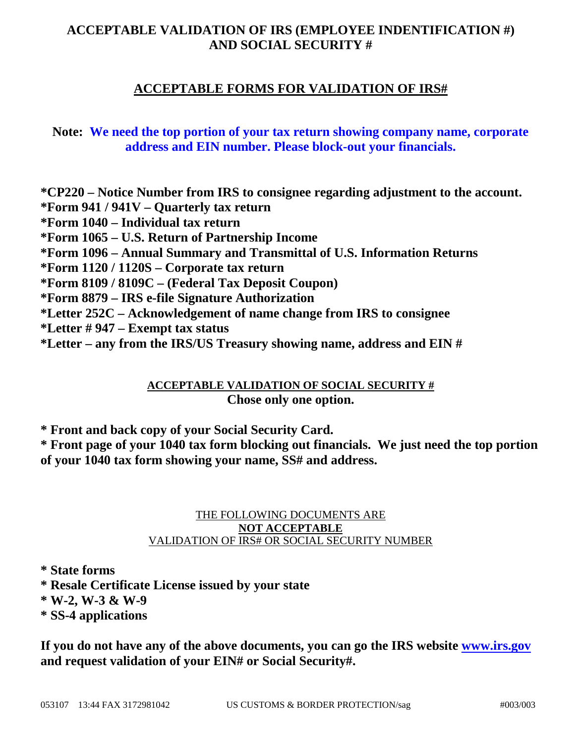# **ACCEPTABLE VALIDATION OF IRS (EMPLOYEE INDENTIFICATION #) AND SOCIAL SECURITY #**

# **ACCEPTABLE FORMS FOR VALIDATION OF IRS#**

# **Note: We need the top portion of your tax return showing company name, corporate address and EIN number. Please block-out your financials.**

**\*CP220 – Notice Number from IRS to consignee regarding adjustment to the account. \*Form 941 / 941V – Quarterly tax return \*Form 1040 – Individual tax return \*Form 1065 – U.S. Return of Partnership Income \*Form 1096 – Annual Summary and Transmittal of U.S. Information Returns \*Form 1120 / 1120S – Corporate tax return \*Form 8109 / 8109C – (Federal Tax Deposit Coupon) \*Form 8879 – IRS e-file Signature Authorization \*Letter 252C – Acknowledgement of name change from IRS to consignee \*Letter # 947 – Exempt tax status \*Letter – any from the IRS/US Treasury showing name, address and EIN #**

# **ACCEPTABLE VALIDATION OF SOCIAL SECURITY # Chose only one option.**

**\* Front and back copy of your Social Security Card.** 

**\* Front page of your 1040 tax form blocking out financials. We just need the top portion of your 1040 tax form showing your name, SS# and address.**

### THE FOLLOWING DOCUMENTS ARE **NOT ACCEPTABLE** VALIDATION OF IRS# OR SOCIAL SECURITY NUMBER

**\* State forms** 

**\* Resale Certificate License issued by your state**

**\* W-2, W-3 & W-9** 

**\* SS-4 applications**

**If you do not have any of the above documents, you can go the IRS website [www.irs.gov](http://www.irs.gov/) and request validation of your EIN# or Social Security#.**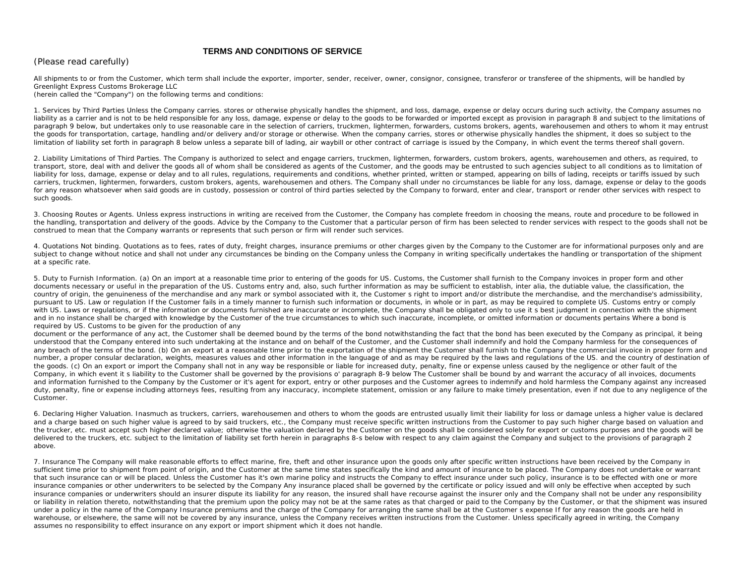#### **TERMS AND CONDITIONS OF SERVICE**

#### (Please read carefully)

All shipments to or from the Customer, which term shall include the exporter, importer, sender, receiver, owner, consignor, consignee, transferor or transferee of the shipments, will be handled by Greenlight Express Customs Brokerage LLC

(herein called the "Company") on the following terms and conditions:

1. Services by Third Parties Unless the Company carries. stores or otherwise physically handles the shipment, and loss, damage, expense or delay occurs during such activity, the Company assumes no liability as a carrier and is not to be held responsible for any loss, damage, expense or delay to the goods to be forwarded or imported except as provision in paragraph 8 and subject to the limitations of paragraph 9 below, but undertakes only to use reasonable care in the selection of carriers, truckmen, lightermen, forwarders, customs brokers, agents, warehousemen and others to whom it may entrust the goods for transportation, cartage, handling and/or delivery and/or storage or otherwise. When the company carries, stores or otherwise physically handles the shipment, it does so subject to the limitation of liability set forth in paragraph 8 below unless a separate bill of lading, air waybill or other contract of carriage is issued by the Company, in which event the terms thereof shall govern.

2. Liability Limitations of Third Parties. The Company is authorized to select and engage carriers, truckmen, lightermen, forwarders, custom brokers, agents, warehousemen and others, as required, to transport, store, deal with and deliver the goods all of whom shall be considered as agents of the Customer, and the goods may be entrusted to such agencies subject to all conditions as to limitation of liability for loss, damage, expense or delay and to all rules, regulations, requirements and conditions, whether printed, written or stamped, appearing on bills of lading, receipts or tariffs issued by such carriers, truckmen, lightermen, forwarders, custom brokers, agents, warehousemen and others. The Company shall under no circumstances be liable for any loss, damage, expense or delay to the goods for any reason whatsoever when said goods are in custody, possession or control of third parties selected by the Company to forward, enter and clear, transport or render other services with respect to such goods.

3. Choosing Routes or Agents. Unless express instructions in writing are received from the Customer, the Company has complete freedom in choosing the means, route and procedure to be followed in the handling, transportation and delivery of the goods. Advice by the Company to the Customer that a particular person of firm has been selected to render services with respect to the goods shall not be construed to mean that the Company warrants or represents that such person or firm will render such services.

4. Quotations Not binding. Quotations as to fees, rates of duty, freight charges, insurance premiums or other charges given by the Company to the Customer are for informational purposes only and are subject to change without notice and shall not under any circumstances be binding on the Company unless the Company in writing specifically undertakes the handling or transportation of the shipment at a specific rate.

5. Duty to Furnish Information. (a) On an import at a reasonable time prior to entering of the goods for US. Customs, the Customer shall furnish to the Company invoices in proper form and other documents necessary or useful in the preparation of the US. Customs entry and, also, such further information as may be sufficient to establish, inter alia, the dutiable value, the classification, the country of origin, the genuineness of the merchandise and any mark or symbol associated with it, the Customer s right to import and/or distribute the merchandise, and the merchandise's admissibility, pursuant to US. Law or regulation If the Customer fails in a timely manner to furnish such information or documents, in whole or in part, as may be required to complete US. Customs entry or comply with US. Laws or regulations, or if the information or documents furnished are inaccurate or incomplete, the Company shall be obligated only to use it s best judgment in connection with the shipment and in no instance shall be charged with knowledge by the Customer of the true circumstances to which such inaccurate, incomplete, or omitted information or documents pertains Where a bond is required by US. Customs to be given for the production of any

document or the performance of any act, the Customer shall be deemed bound by the terms of the bond notwithstanding the fact that the bond has been executed by the Company as principal, it being understood that the Company entered into such undertaking at the instance and on behalf of the Customer, and the Customer shall indemnify and hold the Company harmless for the consequences of any breach of the terms of the bond. (b) On an export at a reasonable time prior to the exportation of the shipment the Customer shall furnish to the Company the commercial invoice in proper form and number, a proper consular declaration, weights, measures values and other information in the language of and as may be required by the laws and regulations of the US, and the country of destination of the goods. (c) On an export or import the Company shall not in any way be responsible or liable for increased duty, penalty, fine or expense unless caused by the negligence or other fault of the Company, in which event it s liability to the Customer shall be governed by the provisions o' paragraph 8-9 below The Customer shall be bound by and warrant the accuracy of all invoices, documents and information furnished to the Company by the Customer or it's agent for export, entry or other purposes and the Customer agrees to indemnify and hold harmless the Company against any increased duty, penalty, fine or expense including attorneys fees, resulting from any inaccuracy, incomplete statement, omission or any failure to make timely presentation, even if not due to any negligence of the Customer.

6. Declaring Higher Valuation. Inasmuch as truckers, carriers, warehousemen and others to whom the goods are entrusted usually limit their liability for loss or damage unless a higher value is declared and a charge based on such higher value is agreed to by said truckers, etc., the Company must receive specific written instructions from the Customer to pay such higher charge based on valuation and the trucker, etc. must accept such higher declared value; otherwise the valuation declared by the Customer on the goods shall be considered solely for export or customs purposes and the goods will be delivered to the truckers, etc. subject to the limitation of liability set forth herein in paragraphs 8-s below with respect to any claim against the Company and subject to the provisions of paragraph 2 above.

7. Insurance The Company will make reasonable efforts to effect marine, fire, theft and other insurance upon the goods only after specific written instructions have been received by the Company in sufficient time prior to shipment from point of origin, and the Customer at the same time states specifically the kind and amount of insurance to be placed. The Company does not undertake or warrant that such insurance can or will be placed. Unless the Customer has it's own marine policy and instructs the Company to effect insurance under such policy, insurance is to be effected with one or more insurance companies or other underwriters to be selected by the Company Any insurance placed shall be governed by the certificate or policy issued and will only be effective when accepted by such insurance companies or underwriters should an insurer dispute its liability for any reason, the insured shall have recourse against the insurer only and the Company shall not be under any responsibility or liability in relation thereto, notwithstanding that the premium upon the policy may not be at the same rates as that charged or paid to the Company by the Customer, or that the shipment was insured under a policy in the name of the Company Insurance premiums and the charge of the Company for arranging the same shall be at the Customer s expense If for any reason the goods are held in warehouse, or elsewhere, the same will not be covered by any insurance, unless the Company receives written instructions from the Customer. Unless specifically agreed in writing, the Company assumes no responsibility to effect insurance on any export or import shipment which it does not handle.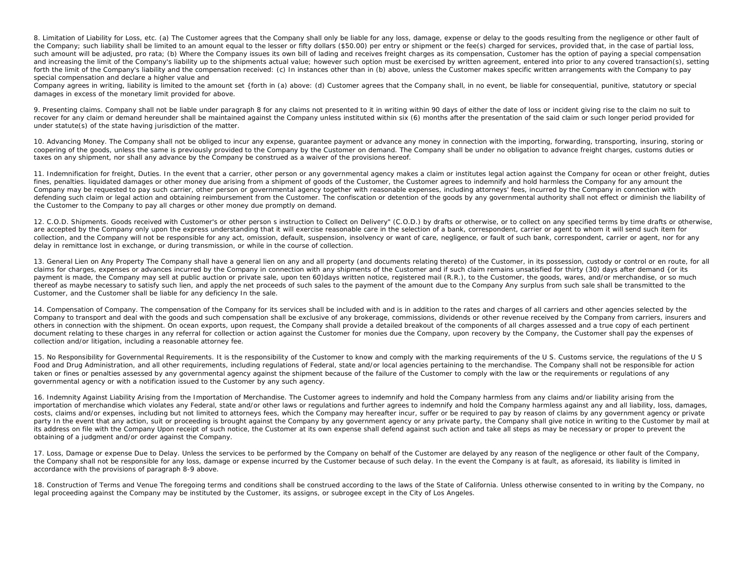8. Limitation of Liability for Loss, etc. (a) The Customer agrees that the Company shall only be liable for any loss, damage, expense or delay to the goods resulting from the negligence or other fault of the Company; such liability shall be limited to an amount equal to the lesser or fifty dollars (\$50.00) per entry or shipment or the fee(s) charged for services, provided that, in the case of partial loss, such amount will be adjusted, pro rata; (b) Where the Company issues its own bill of lading and receives freight charges as its compensation, Customer has the option of paying a special compensation and increasing the limit of the Company's liability up to the shipments actual value; however such option must be exercised by written agreement, entered into prior to any covered transaction(s), setting forth the limit of the Company's liability and the compensation received: (c) In instances other than in (b) above, unless the Customer makes specific written arrangements with the Company to pay special compensation and declare a higher value and

Company agrees in writing, liability is limited to the amount set {forth in (a) above: (d) Customer agrees that the Company shall, in no event, be liable for consequential, punitive, statutory or special damages in excess of the monetary limit provided for above.

9. Presenting claims. Company shall not be liable under paragraph 8 for any claims not presented to it in writing within 90 days of either the date of loss or incident giving rise to the claim no suit to recover for any claim or demand hereunder shall be maintained against the Company unless instituted within six (6) months after the presentation of the said claim or such longer period provided for under statute(s) of the state having jurisdiction of the matter.

10. Advancing Money. The Company shall not be obliged to incur any expense, guarantee payment or advance any money in connection with the importing, forwarding, transporting, insuring, storing or coopering of the goods, unless the same is previously provided to the Company by the Customer on demand. The Company shall be under no obligation to advance freight charges, customs duties or taxes on any shipment, nor shall any advance by the Company be construed as a waiver of the provisions hereof.

11. Indemnification for freight, Duties. In the event that a carrier, other person or any governmental agency makes a claim or institutes legal action against the Company for ocean or other freight, duties fines, penalties. liquidated damages or other money due arising from a shipment of goods of the Customer, the Customer agrees to indemnify and hold harmless the Company for any amount the Company may be requested to pay such carrier, other person or governmental agency together with reasonable expenses, including attorneys' fees, incurred by the Company in connection with defending such claim or legal action and obtaining reimbursement from the Customer. The confiscation or detention of the goods by any governmental authority shall not effect or diminish the liability of the Customer to the Company to pay all charges or other money due promptly on demand.

12. C.O.D. Shipments. Goods received with Customer's or other person s instruction to Collect on Delivery" (C.O.D.) by drafts or otherwise, or to collect on any specified terms by time drafts or otherwise, are accepted by the Company only upon the express understanding that it will exercise reasonable care in the selection of a bank, correspondent, carrier or agent to whom it will send such item for collection, and the Company will not be responsible for any act, omission, default, suspension, insolvency or want of care, negligence, or fault of such bank, correspondent, carrier or agent, nor for any delay in remittance lost in exchange, or during transmission, or while in the course of collection.

13. General Lien on Any Property The Company shall have a general lien on any and all property (and documents relating thereto) of the Customer, in its possession, custody or control or en route, for all claims for charges, expenses or advances incurred by the Company in connection with any shipments of the Customer and if such claim remains unsatisfied for thirty (30) days after demand {or its payment is made, the Company may sell at public auction or private sale, upon ten 60)days written notice, registered mail (R.R.), to the Customer, the goods, wares, and/or merchandise, or so much thereof as maybe necessary to satisfy such lien, and apply the net proceeds of such sales to the payment of the amount due to the Company Any surplus from such sale shall be transmitted to the Customer, and the Customer shall be liable for any deficiency In the sale.

14. Compensation of Company. The compensation of the Company for its services shall be included with and is in addition to the rates and charges of all carriers and other agencies selected by the Company to transport and deal with the goods and such compensation shall be exclusive of any brokerage, commissions, dividends or other revenue received by the Company from carriers, insurers and others in connection with the shipment. On ocean exports, upon request, the Company shall provide a detailed breakout of the components of all charges assessed and a true copy of each pertinent document relating to these charges in any referral for collection or action against the Customer for monies due the Company, upon recovery by the Company, the Customer shall pay the expenses of collection and/or litigation, including a reasonable attorney fee.

15. No Responsibility for Governmental Requirements. It is the responsibility of the Customer to know and comply with the marking requirements of the U S. Customs service, the regulations of the U S Food and Drug Administration, and all other requirements, including regulations of Federal, state and/or local agencies pertaining to the merchandise. The Company shall not be responsible for action taken or fines or penalties assessed by any governmental agency against the shipment because of the failure of the Customer to comply with the law or the requirements or regulations of any governmental agency or with a notification issued to the Customer by any such agency.

16. Indemnity Against Liability Arising from the Importation of Merchandise. The Customer agrees to indemnify and hold the Company harmless from any claims and/or liability arising from the importation of merchandise which violates any Federal, state and/or other laws or regulations and further agrees to indemnify and hold the Company harmless against any and all liability, loss, damages, costs, claims and/or expenses, including but not limited to attorneys fees, which the Company may hereafter incur, suffer or be required to pay by reason of claims by any government agency or private party In the event that any action, suit or proceeding is brought against the Company by any government agency or any private party, the Company shall give notice in writing to the Customer by mail at its address on file with the Company Upon receipt of such notice, the Customer at its own expense shall defend against such action and take all steps as may be necessary or proper to prevent the obtaining of a judgment and/or order against the Company.

17. Loss, Damage or expense Due to Delay. Unless the services to be performed by the Company on behalf of the Customer are delayed by any reason of the negligence or other fault of the Company, the Company shall not be responsible for any loss, damage or expense incurred by the Customer because of such delay. In the event the Company is at fault, as aforesaid, its liability is limited in accordance with the provisions of paragraph 8-9 above.

18. Construction of Terms and Venue The foregoing terms and conditions shall be construed according to the laws of the State of California. Unless otherwise consented to in writing by the Company, no legal proceeding against the Company may be instituted by the Customer, its assigns, or subrogee except in the City of Los Angeles.